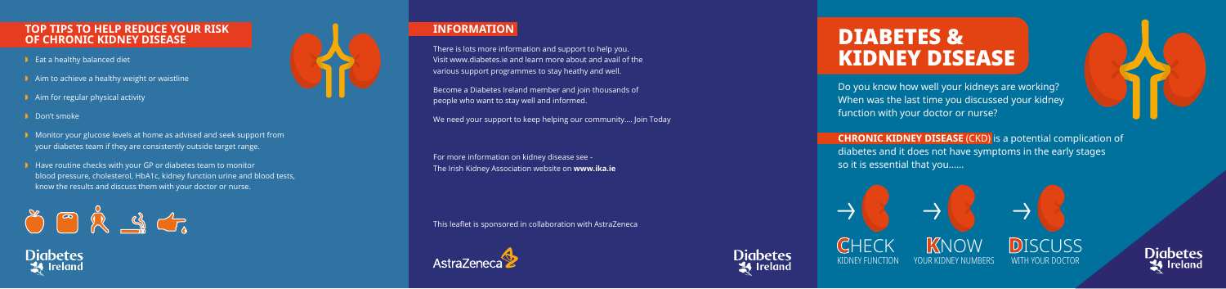Do you know how well your kidneys are working? When was the last time you discussed your kidney function with your doctor or nurse?

# DIABETES & KIDNEY DISEASE





**Diabetes 34** Ireland

## **TOP TIPS TO HELP REDUCE YOUR RISK OF CHRONIC KIDNEY DISEASE**

- $\bullet$  Eat a healthy balanced diet
- $\blacktriangleright$  Aim to achieve a healthy weight or waistline
- $\blacksquare$  Aim for regular physical activity
- Don't smoke
- **D** Monitor your glucose levels at home as advised and seek support from your diabetes team if they are consistently outside target range.
- $\triangleright$  Have routine checks with your GP or diabetes team to monitor blood pressure, cholesterol, HbA1c, kidney function urine and blood tests, know the results and discuss them with your doctor or nurse.



Diabetes



# **INFORMATION**

There is lots more information and support to help you. Visit www.diabetes.ie and learn more about and avail of the various support programmes to stay heathy and well.

Become a Diabetes Ireland member and join thousands of people who want to stay well and informed.

We need your support to keep helping our community…. Join Today

For more information on kidney disease see - The Irish Kidney Association website on **www.ika.ie**

This leaflet is sponsored in collaboration with AstraZeneca